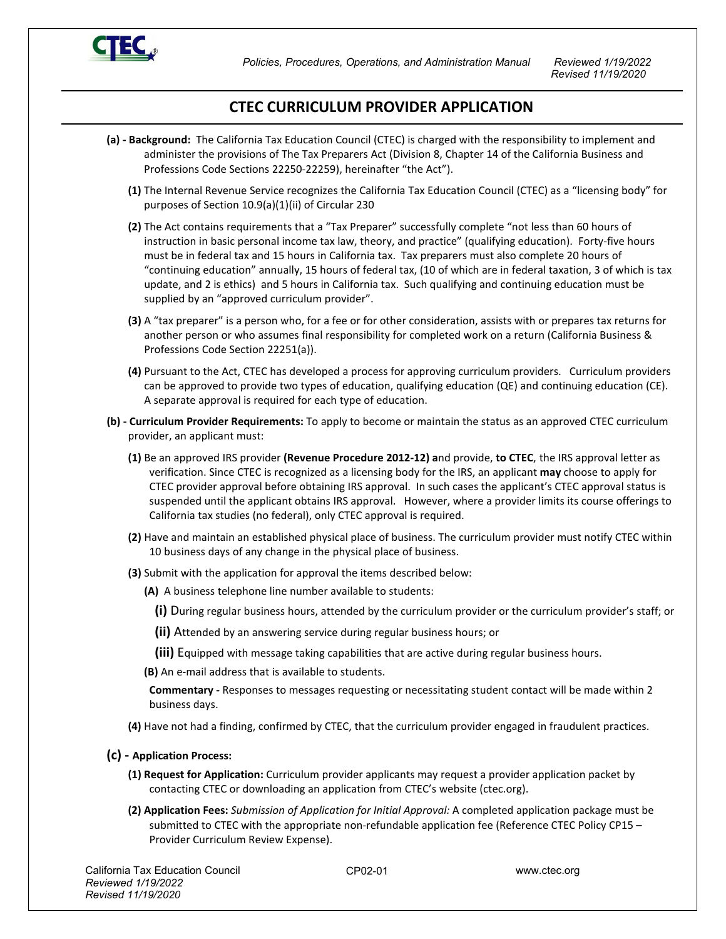

 *Policies, Procedures, Operations, and Administration Manual Reviewed 1/19/2022*

 *Revised 11/19/2020*

## **CTEC CURRICULUM PROVIDER APPLICATION**

- **(a) - Background:** The California Tax Education Council (CTEC) is charged with the responsibility to implement and administer the provisions of The Tax Preparers Act (Division 8, Chapter 14 of the California Business and Professions Code Sections 22250-22259), hereinafter "the Act").
	- **(1)** The Internal Revenue Service recognizes the California Tax Education Council (CTEC) as a "licensing body" for purposes of Section 10.9(a)(1)(ii) of Circular 230
	- **(2)** The Act contains requirements that a "Tax Preparer" successfully complete "not less than 60 hours of instruction in basic personal income tax law, theory, and practice" (qualifying education). Forty-five hours must be in federal tax and 15 hours in California tax. Tax preparers must also complete 20 hours of "continuing education" annually, 15 hours of federal tax, (10 of which are in federal taxation, 3 of which is tax update, and 2 is ethics) and 5 hours in California tax. Such qualifying and continuing education must be supplied by an "approved curriculum provider".
	- **(3)** A "tax preparer" is a person who, for a fee or for other consideration, assists with or prepares tax returns for another person or who assumes final responsibility for completed work on a return (California Business & Professions Code Section 22251(a)).
	- **(4)** Pursuant to the Act, CTEC has developed a process for approving curriculum providers. Curriculum providers can be approved to provide two types of education, qualifying education (QE) and continuing education (CE). A separate approval is required for each type of education.
- **(b) - Curriculum Provider Requirements:** To apply to become or maintain the status as an approved CTEC curriculum provider, an applicant must:
	- **(1)** Be an approved IRS provider **(Revenue Procedure 2012-12) a**nd provide, **to CTEC**, the IRS approval letter as verification. Since CTEC is recognized as a licensing body for the IRS, an applicant **may** choose to apply for CTEC provider approval before obtaining IRS approval. In such cases the applicant's CTEC approval status is suspended until the applicant obtains IRS approval. However, where a provider limits its course offerings to California tax studies (no federal), only CTEC approval is required.
	- **(2)** Have and maintain an established physical place of business. The curriculum provider must notify CTEC within 10 business days of any change in the physical place of business.
	- **(3)** Submit with the application for approval the items described below:
		- **(A)** A business telephone line number available to students:
			- **(i)** During regular business hours, attended by the curriculum provider or the curriculum provider's staff; or
			- **(ii)** Attended by an answering service during regular business hours; or
			- **(iii)** Equipped with message taking capabilities that are active during regular business hours.
		- **(B)** An e-mail address that is available to students.

**Commentary -** Responses to messages requesting or necessitating student contact will be made within 2 business days.

- **(4)** Have not had a finding, confirmed by CTEC, that the curriculum provider engaged in fraudulent practices.
- **(c) - Application Process:** 
	- **(1) Request for Application:** Curriculum provider applicants may request a provider application packet by contacting CTEC or downloading an application from CTEC's website (ctec.org).
	- **(2) Application Fees:** *Submission of Application for Initial Approval:* A completed application package must be submitted to CTEC with the appropriate non-refundable application fee (Reference CTEC Policy CP15 – Provider Curriculum Review Expense).